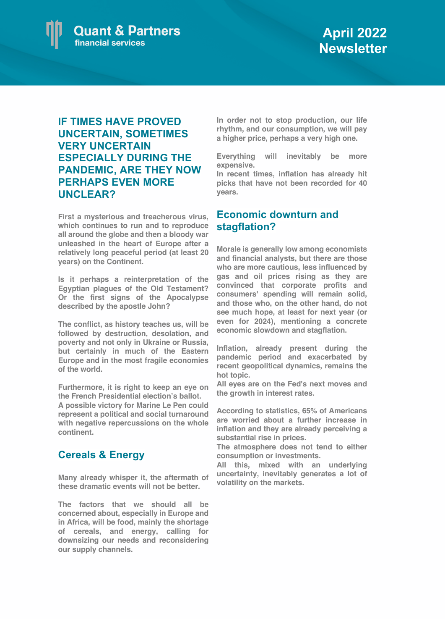

## **IF TIMES HAVE PROVED UNCERTAIN, SOMETIMES VERY UNCERTAIN ESPECIALLY DURING THE PANDEMIC, ARE THEY NOW PERHAPS EVEN MORE UNCLEAR?**

**First a mysterious and treacherous virus, which continues to run and to reproduce all around the globe and then a bloody war unleashed in the heart of Europe after a relatively long peaceful period (at least 20 years) on the Continent.** 

**Is it perhaps a reinterpretation of the Egyptian plagues of the Old Testament? Or the first signs of the Apocalypse described by the apostle John?**

**The conflict, as history teaches us, will be followed by destruction, desolation, and poverty and not only in Ukraine or Russia, but certainly in much of the Eastern Europe and in the most fragile economies of the world.**

**Furthermore, it is right to keep an eye on the French Presidential election's ballot.** 

**A possible victory for Marine Le Pen could represent a political and social turnaround with negative repercussions on the whole continent.**

## **Cereals & Energy**

**Many already whisper it, the aftermath of these dramatic events will not be better.** 

**The factors that we should all be concerned about, especially in Europe and in Africa, will be food, mainly the shortage of cereals, and energy, calling for downsizing our needs and reconsidering our supply channels.**

**In order not to stop production, our life rhythm, and our consumption, we will pay a higher price, perhaps a very high one.**

**Everything will inevitably be more expensive.**

**In recent times, inflation has already hit picks that have not been recorded for 40 years.**

## **Economic downturn and stagflation?**

**Morale is generally low among economists and financial analysts, but there are those who are more cautious, less influenced by gas and oil prices rising as they are convinced that corporate profits and consumers' spending will remain solid, and those who, on the other hand, do not see much hope, at least for next year (or even for 2024), mentioning a concrete economic slowdown and stagflation.**

**Inflation, already present during the pandemic period and exacerbated by recent geopolitical dynamics, remains the hot topic.** 

**All eyes are on the Fed's next moves and the growth in interest rates.** 

**According to statistics, 65% of Americans are worried about a further increase in inflation and they are already perceiving a substantial rise in prices.** 

**The atmosphere does not tend to either consumption or investments.** 

**All this, mixed with an underlying uncertainty, inevitably generates a lot of volatility on the markets.**